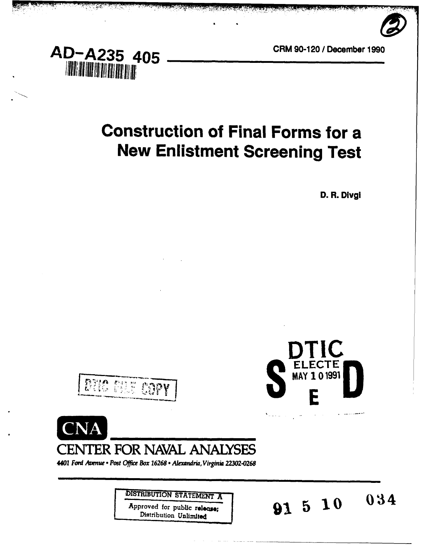



, and the control of the second control of the second and the second **and the control of the second and the second** 

# **Construction of Final Forms for a New Enlistment Screening Test**

**D.** R. DivgI





**91 5 10** 

 $034$ 

**DTIC** 





**CENTER FOR NAVAL ANALYSES**

*4401 Ford Avenue - Post Office Box 16268 -Alxodria, Virgy n* **22302-0268**

**DISTRIBUTION STATEMENT A** 

Approved for public release;<br>Distribution Unlimited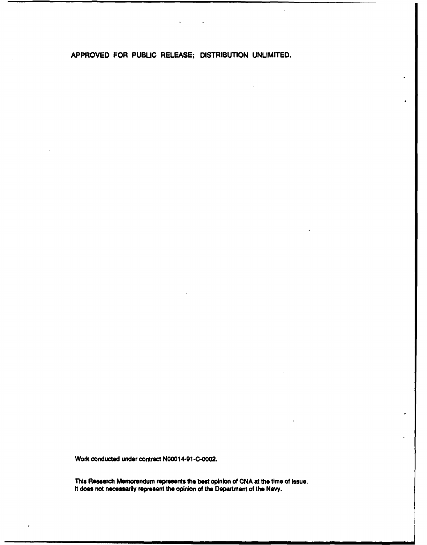APPROVED FOR **PUBLIC RELEASE;** DISTRIBUTION **UNLIMITED.**

 $\cdot$ 

Work conducted under contract **N0001** 4-91 **-C-0002.**

This Research Memorandum represents the **best** opinion of **CNA** at the time of Issue. **It does** not necessarily represent **the** opinion of the Department **of** the Navy.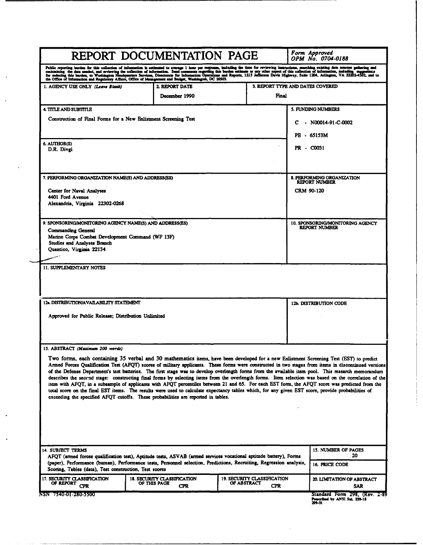|                                                                                                                                                                                                                                                                                                                                                                                                                                                                                                                                                                         |                                                                                                             | REPORT DOCUMENTATION PAGE                                        |             |                                           |   | Form Approved<br>OPM No. 0704-0188                                                                                                                                                                                                                                                                                                                                                                                                                                  |
|-------------------------------------------------------------------------------------------------------------------------------------------------------------------------------------------------------------------------------------------------------------------------------------------------------------------------------------------------------------------------------------------------------------------------------------------------------------------------------------------------------------------------------------------------------------------------|-------------------------------------------------------------------------------------------------------------|------------------------------------------------------------------|-------------|-------------------------------------------|---|---------------------------------------------------------------------------------------------------------------------------------------------------------------------------------------------------------------------------------------------------------------------------------------------------------------------------------------------------------------------------------------------------------------------------------------------------------------------|
| Peblic reporting burden for this collection of information is estimated to average 1 hour per response, including the time for reviewing interactions, searching existing data sources gathering and maintaining the oldest mo                                                                                                                                                                                                                                                                                                                                          |                                                                                                             |                                                                  |             |                                           |   |                                                                                                                                                                                                                                                                                                                                                                                                                                                                     |
| 1. AGENCY USE ONLY (Leave Blank)                                                                                                                                                                                                                                                                                                                                                                                                                                                                                                                                        |                                                                                                             | <b>2 REPORT DATE</b><br>December 1990                            |             | 3. REPORT TYPE AND DATES COVERED<br>Final |   |                                                                                                                                                                                                                                                                                                                                                                                                                                                                     |
| <b>4. TITLE AND SUBTITLE</b><br>Construction of Final Forms for a New Enlistment Screening Test<br>6. AUTHOR(S)<br>D.R. Divgi                                                                                                                                                                                                                                                                                                                                                                                                                                           |                                                                                                             |                                                                  |             |                                           | с | 5. FUNDING NUMBERS<br>$- N00014-91-C-0002$<br>PE - 65153M<br>PR - C0031                                                                                                                                                                                                                                                                                                                                                                                             |
| 7. PERFORMING ORGANIZATION NAME(S) AND ADDRESS(ES)<br>Center for Naval Analyses<br>4401 Ford Avenue<br>Alexandria, Virginia 22302-0268                                                                                                                                                                                                                                                                                                                                                                                                                                  |                                                                                                             |                                                                  |             |                                           |   | 8. PERFORMING ORGANIZATION<br><b>REPORT NUMBER</b><br>CRM 90-120                                                                                                                                                                                                                                                                                                                                                                                                    |
| Commanding General<br>Studies and Analyses Branch<br>Quantico, Virginia 22134                                                                                                                                                                                                                                                                                                                                                                                                                                                                                           | 9. SPONSORING/MONITORING AGENCY NAME(S) AND ADDRESS(ES)<br>Marine Corps Combat Development Command (WF 13F) |                                                                  |             |                                           |   |                                                                                                                                                                                                                                                                                                                                                                                                                                                                     |
| 11. SUPPLEMENTARY NOTES                                                                                                                                                                                                                                                                                                                                                                                                                                                                                                                                                 |                                                                                                             |                                                                  |             |                                           |   |                                                                                                                                                                                                                                                                                                                                                                                                                                                                     |
| 12. DISTRIBUTION/AVAILABILITY STATEMENT<br>Approved for Public Release; Distribution Unlimited                                                                                                                                                                                                                                                                                                                                                                                                                                                                          |                                                                                                             |                                                                  |             |                                           |   | 12b. DISTRIBUTION CODE                                                                                                                                                                                                                                                                                                                                                                                                                                              |
| 13. ABSTRACT (Maximum 200 words)<br>Two forms, each containing 35 verbal and 30 mathematics items, have been developed for a new Enlistment Screening Test (EST) to predict<br>item with AFQT, in a subsample of applicants with AFQT percentiles between 21 and 65. For each EST form, the AFQT score was predicted from the<br>total score on the final EST items. The results were used to calculate expectancy tables which, for any given EST score, provide probabilities of<br>exceeding the specified AFQT cutoffs. These probabilities are reported in tables. |                                                                                                             |                                                                  |             |                                           |   | Armed Forces Qualification Test (AFQT) scores of military applicants. These forms were constructed in two stages from items in discontinued versions<br>of the Defense Department's test batteries. The first stage was to develop overlength forms from the available item pool. This research memorandum<br>describes the second stage: constructing final forms by selecting items from the overlength forms. Item selection was based on the correlation of the |
| 14. SUBJECT TERMS<br>AFQT (armed forces qualification test), Aptitude tests, ASVAB (armed services vocational aptitude battery), Forms<br>(paper), Performance (human), Performance tests, Personnel selection, Predictions, Recruiting, Regression analysis,<br>Scoring, Tables (data), Test construction, Test scores                                                                                                                                                                                                                                                 |                                                                                                             |                                                                  |             |                                           |   | 15. NUMBER OF PAGES<br>20<br>16. PRICE CODE                                                                                                                                                                                                                                                                                                                                                                                                                         |
| 17. SECURITY CLASSIFICATION<br>OF REPORT<br><b>CPR</b>                                                                                                                                                                                                                                                                                                                                                                                                                                                                                                                  |                                                                                                             | <b>18. SECURITY CLASSIFICATION</b><br>OF THIS PAGE<br><b>CPR</b> | OF ABSTRACT | 19. SECURITY CLASSIFICATION<br><b>CPR</b> |   | 20. LIMITATION OF ABSTRACT<br>SAR                                                                                                                                                                                                                                                                                                                                                                                                                                   |
| NSN 7540-01-280-5500                                                                                                                                                                                                                                                                                                                                                                                                                                                                                                                                                    |                                                                                                             |                                                                  |             |                                           |   | Standard Form 298, (Rev. 2-89<br>Prescribed by ANSI Std. 239-18<br>299-01                                                                                                                                                                                                                                                                                                                                                                                           |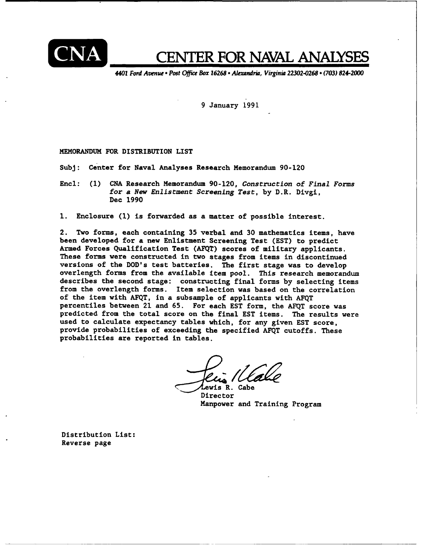

# ED **CENTER FOR NAVAL ANALYSES**

4401 Ford Avenue **.**Post **Offie** Box **16268 Alexandria,** Virginia **22302-0268.(703)** 824-2000

9 January **1991**

**MEMORANDUM** FOR DISTRIBUTION LIST

Subj: Center for Naval Analyses Research Memorandum **90-120**

Encl: **(1) CNA** Research Memorandum **90-120,** Construction of Final Forms for a New Enlistment Screening Test, **by** D.R. Divgi, Dec **1990**

**1.** Enclosure **(1)** is forwarded as a matter of possible interest.

2. Two forms, each containing **35** verbal and **30** mathematics items, have been developed for a new Enlistment Screening Test **(EST)** to predict Armed Forces Qualification Test **(AFQT)** scores of military applicants. These forms were constructed in two stages from items in discontinued versions of the DOD's test batteries. The first stage was to develop overlength forms from the available item pool. This research memorandum describes the second stage: constructing final forms **by** selecting items from the overlength forms. Item selection was based on the correlation of the item with **AFQT,** in a subsample of applicants with **AFQT** percentiles between 21 and **65.** For each **EST** form, the **AFQT** score was predicted from the total score on the final **EST** items. The results were used to calculate expectancy tables which, for any given **EST** score, provide probabilities of exceeding the specified **AFQT** cutoffs. These probabilities are reported in tables.

**.** Cabe

Director Manpower and Training Program

Distribution List: Reverse page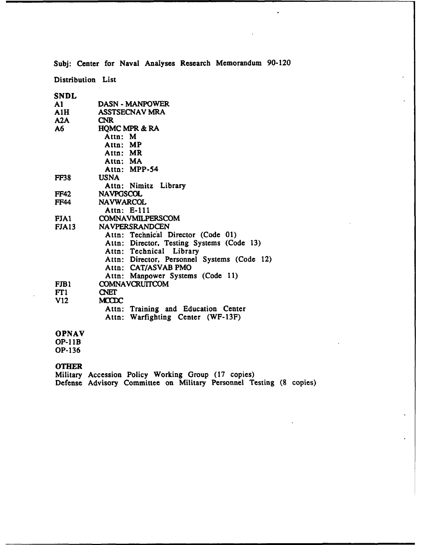**Subj:** Center for Naval Analyses Research Memorandum **90-120**

 $\bullet$ 

Distribution List

| SNDL          |                                             |
|---------------|---------------------------------------------|
| $\mathbf{A1}$ | <b>DASN - MANPOWER</b>                      |
| A1H           | <b>ASSTSECNAV MRA</b>                       |
| A2A           | <b>CNR</b>                                  |
| A6 —          | <b>HQMC MPR &amp; RA</b>                    |
|               | Attn: M                                     |
|               | Attn: MP                                    |
|               | Attn: MR                                    |
|               | Attn: MA                                    |
|               | Attn: MPP-54                                |
| <b>FF38</b>   | USNA                                        |
|               | Attn: Nimitz Library                        |
| <b>FF42</b>   | <b>NAVPGSCOL</b>                            |
| <b>FF44</b>   | <b>NAVWARCOL</b>                            |
|               | Attn: E-111                                 |
| FJA1          | COMNAVMILPERSCOM                            |
| FJA13         | <b>NAVPERSRANDCEN</b>                       |
|               | Attn: Technical Director (Code 01)          |
|               | Attn: Director, Testing Systems (Code 13)   |
|               | Attn: Technical Library                     |
|               | Attn: Director, Personnel Systems (Code 12) |
|               | Attn: CAT/ASVAB PMO                         |
|               | Attn: Manpower Systems (Code 11)            |
| FJB1          | <b>COMNAVCRUITCOM</b>                       |
| FT1           | <b>CNET</b>                                 |
| V12           | <b>MCCDC</b>                                |
|               | Attn: Training and Education Center         |
|               | Attn: Warfighting Center (WF-13F)           |
| <b>OPNAV</b>  |                                             |
| $OP-11B$      |                                             |

**OP-136**

## **OTHER**

Military Accession Policy Working Group **(17** copies) Defense Advisory Committee on Military Personnel Testing **(8** copies)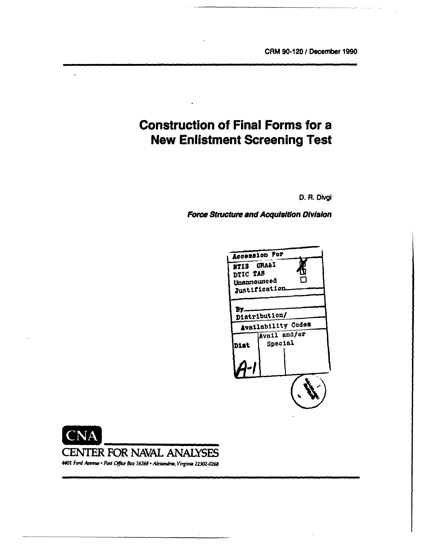# **Construction of Final Forms for a New Enlistment Screening Test**

**D.** R. DIvgi

Force Structure and Acquisition Division





*4401 Ford Avrnw* \* *Post* **Ofw** *Box 16268 - ALxwndrka, Virginia 22302-0268*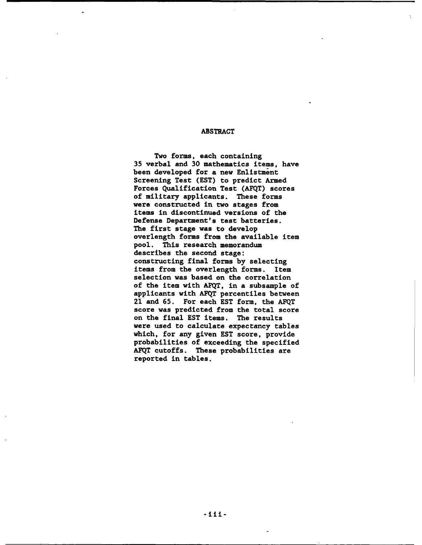### ABSTRACT

Two forms, each containing **35** verbal and **30** mathematics items, have been developed for a new Enlistment Screening Test **(EST)** to predict Armed Forces Qualification Test **(AFQT)** scores of military applicants. These forms were constructed in two stages from items in discontinued versions of the Defense Department's test batteries. The first stage was to develop overlength forms from the available item pool. This research memorandum describes the second stage: constructing final forms **by** selecting items from the overlength forms. Item selection was based on the correlation of the item with **AFQT,** in a subsample of applicants with **AFQT** percentiles between 21 and **65.** For each **EST** form, the **AFQT** score was predicted from the total score on the final **EST** items. The results were used to calculate expectancy tables which, for any given **EST** score, provide probabilities of exceeding the specified **AFQT** cutoffs. These probabilities are reported in tables.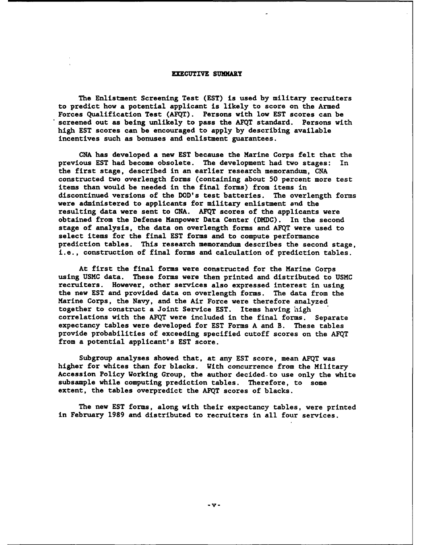#### EXECUTIVE SUMMARY

The Enlistment Screening Test **(EST)** is used **by** military recruiters to predict how a potential applicant is likely to score on the Armed Forces Qualification Test **(AFQT).** Persons with low **EST** scores can be screened out as being unlikely to pass the **AFQT** standard. Persons with high **EST** scores can be encouraged to apply **by** describing available incentives such as bonuses and enlistment guarantees.

**CNA** has developed a new **EST** because the Marine Corps felt that the previous **EST** had become obsolete. The development had two stages: In the first stage, described in an earlier research memorandum, **CNA** constructed two overlength forms (containing about **50** percent more test items than would be needed in the final forms) from items in discontinued versions of the DOD's test batteries. The overlength forms were administered to applicants for military enlistment and the resulting data were sent to **CNA. AFQT** scores of the applicants were obtained from the Defense Manpower Data Center **(DMDC).** In the second stage of analysis, the data on overlength forms and **AFQT** were used to select items for the final **EST** forms and to compute performance prediction tables. This research memorandum describes the second stage, i.e., construction of final forms and calculation of prediction tables.

At first the final forms were constructed for the Marine Corps using **USMC** data. These forms were then printed and distributed to **USMC** recruiters. However, other services also expressed interest in using the new **EST** and provided data on overlength forms. The data from the Marine Corps, the Navy, and the Air Force were therefore analyzed together to construct a Joint Service **EST.** Items having high correlations with the **AFQT** were included in the final forms. Separate expectancy tables were developed for **EST** Forms **A** and B. These tables provide probabilities of exceeding specified cutoff scores on the **AFQT** from a potential applicant's **EST** score.

Subgroup analyses showed that, at any **EST** score, mean **AFQT** was higher for whites than for blacks. With concurrence from the Military Accession Policy Working Group, the author decided-to use only the white subsample while computing prediction tables. Therefore, to some extent, the tables overpredict the **AFQT** scores of blacks.

The new **EST** forms, along with their expectancy tables, were printed in February **1989** and distributed to recruiters in all four services.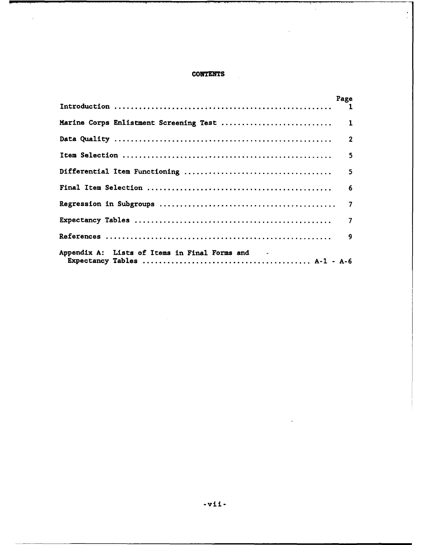### **CONTENTS**

 $\mathbb{R}^2$ 

 $\overline{\phantom{a}}$ 

 $\mathcal{L}_{\mathbf{z}}$ 

 $\ddot{\phantom{a}}$ 

 $\frac{1}{2}$ 

|                                                 | Page |
|-------------------------------------------------|------|
|                                                 |      |
|                                                 |      |
|                                                 | 5    |
|                                                 | 5    |
|                                                 |      |
|                                                 |      |
|                                                 |      |
|                                                 |      |
| Appendix A: Lists of Items in Final Forms and - |      |

 $\mathbb{R}^2$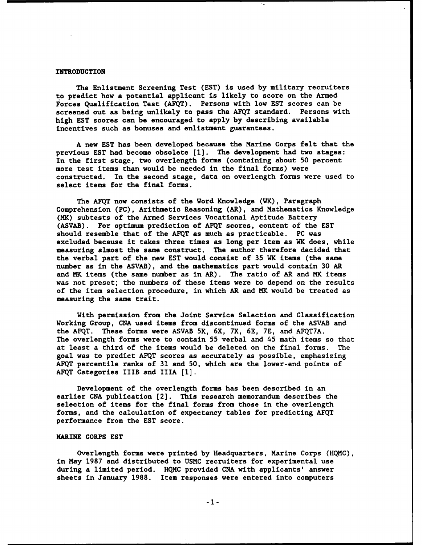#### INTRODUCTION

The Enlistment Screening Test **(EST)** is used **by** military recruiters **to** predict how a potential applicant is likely to score on the Armed Forces Qualification Test **(AFQT).** Persons with low **EST** scores can be screened out as being unlikely to pass the **AFQT** standard. Persons with high **EST** scores can be encouraged to apply **by** describing available incentives such as bonuses and enlistment guarantees.

**A** new **EST** has been developed because the Marine Corps felt that the previous **EST** had become obsolete **[1].** The development had two stages: In the first stage, two overlength forms (containing about **50** percent more test items than would be needed in the final forms) were constructed. In the second stage, data on overlength forms were used to select items for the final forms.

The **AFQT** now consists of the Word Knowledge (WK), Paragraph Comprehension **(PC),** Arithmetic Reasoning (AR), and Mathematics Knowledge (MK) subtests of the Armed Services Vocational Aptitude Battery **(ASVAB).** For optimum prediction of **AFQT** scores, content of the **EST** should resemble that of the **AFQT** as much as practicable. **PC** was excluded because it takes three times as long per item as WK does, while measuring almost the same construct. The author therefore decided that the verbal part of the new **EST** would consist of **35** WK items (the same number as in the **ASVAB),** and the mathematics part would contain **30** AR and MK items (the same number as in AR). The ratio of AR and MK items was not preset; the numbers of these items were to depend on the results of the item selection procedure, in which AR and MK would be treated as measuring the same trait.

With permission from the Joint Service Selection and Classification Working Group, **CNA** used items from discontinued forms of the **ASVAB** and the **AFQT.** These forms were **ASVAB** 5X, 6X, **7X, 6E, 7E,** and **AFQT7A.** The overlength forms were to contain **55** verbal and 45 math items so that at least a third of the items would be deleted on the final forms. The goal was to predict **AFQT** scores as accurately as possible, emphasizing **AFQT** percentile ranks of **31** and **50,** which are the lower-end points of **AFQT** Categories IIIB and **IlIA (1].**

Development of the overlength forms has been described in an earlier **CNA** publication [2]. This research memorandum describes the selection of items for the final forms from those in the overlength forms, and the calculation of expectancy tables for predicting **AFQT** performance from the **EST** score.

#### **MARINE** CORPS **EST**

Overlength forms were printed **by** Headquarters, Marine Corps **(HQMC),** in May **1987** and distributed to **USMC** recruiters for experimental use during a limited period. **HQMC** provided **CNA** with applicants' answer sheets in January **1988.** Item responses were entered into computers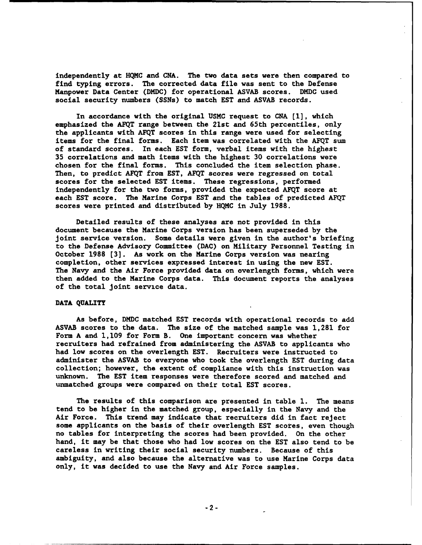independently at **HQMC** and **CNA.** The two data sets were then compared to find typing errors. The corrected data file was sent to the Defense Manpower Data Center **(DMDC)** for operational **ASVAB** scores. **DMDC** used social security numbers (SSNs) to match **EST** and **ASVAB** records.

In accordance with the original **USMC** request to **CNA [1],** which emphasized the **AFQT** range between the 21st and 65th percentiles, only the applicants with **AFQT** scores in this range were used for selecting items for the final forms. Each item was correlated with the **AFQT** sum of standard scores. In each **EST** form, verbal items with the highest **35** correlations and math items with the highest **30** correlations were chosen for the final forms. This concluded the item selection phase. Then, to predict **AFQT** from **EST, AFQT** scores were regressed on total scores for the selected **EST** items. These regressions, performed independently for the two forms, provided the expected **AFQT** score at each **EST** score. The Marine Corps **EST** and the tables of predicted **AFQT** scores were printed and distributed **by HQMC** in July **1988.**

Detailed results of these analyses are not provided in this document because the Marine Corps version has been superseded **by** the joint service version. Some details were given in the author's briefing to the Defense Advisory Committee **(DAC)** on Military Personnel Testing in October **1988 [3].** As work on the Marine Corps version was nearing completion, other services expressed interest in using the new **EST.** The Navy and the Air Force provided data on overlength forms, which were then added to the Marine Corps data. This document reports the analyses of the total joint service data.

#### **DATA** QUALITY

As before, **DMDC** matched **EST** records with operational records to add **ASVAB** scores to the data. The size of the matched sample was **1,281** for Form **A** and **1,109** for Form B. One important concern was whether recruiters had refrained from administering the **ASVAB** to applicants who had low scores on the overlength **EST.** Recruiters were instructed to administer the **ASVAB** to everyone who took the overlength **EST** during data collection; however, the extent of compliance with this instruction was unknown. The **EST** item responses were therefore scored and matched and unmatched groups were compared on their total **EST** scores.

The results of this comparison are presented in table **1.** The means tend to be higher in the matched group, especially in the Navy and the Air Force. This trend may indicate that recruiters did in fact reject some applicants on the basis of their overlength **EST** scores, even though no tables for interpreting the scores had been provided. On the other hand, it may be that those who had low scores on the **EST** also tend to be careless in writing their social security numbers. Because of this ambiguity, and also because the alternative was to use Marine Corps data only, it was decided to use the Navy and Air Force samples.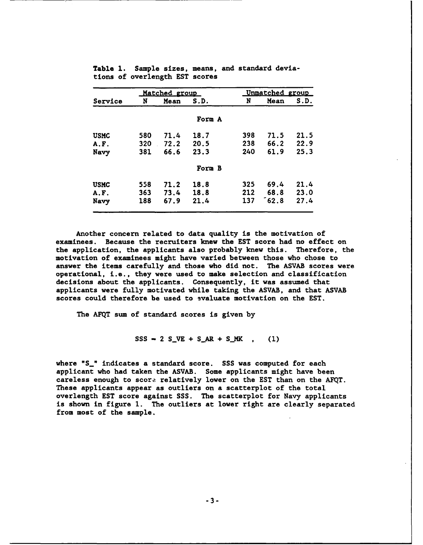| Matched group |     |      |        |     | Unmatched group |      |  |
|---------------|-----|------|--------|-----|-----------------|------|--|
| Service       | N   | Mean | S.D.   | N   | Mean            | S.D. |  |
|               |     |      | Form A |     |                 |      |  |
| <b>USMC</b>   | 580 | 71.4 | 18.7   | 398 | 71.5            | 21.5 |  |
| A.F.          | 320 | 72.2 | 20.5   | 238 | 66.2            | 22.9 |  |
| Navy          | 381 | 66.6 | 23.3   | 240 | 61.9            | 25.3 |  |
|               |     |      | Form B |     |                 |      |  |
| <b>USMC</b>   | 558 | 71.2 | 18.8   | 325 | 69.4            | 21.4 |  |
| A.F.          | 363 | 73.4 | 18.8   | 212 | 68.8            | 23.0 |  |
| Navy          | 188 | 67.9 | 21.4   | 137 | ໌ 62.8          | 27.4 |  |

Table **1.** Sample sizes, means, and standard deviations of overlength **EST** scores

Another concern related to data quality is the motivation of examinees. Because the recruiters knew the **EST** score had no effect on the application, the applicants also probably knew this. Therefore, the motivation of examinees might have varied between those who chose to answer the items carefully and those who did not. The **ASVAB** scores were operational, i.e., they were used to make selection and classification decisions about the applicants. Consequently, it was assumed that applicants were fully motivated while taking the **ASVAB,** and that **ASVAB** scores could therefore be used to 9valuate motivation on the **EST.**

The **AFQT** sum of standard scores is given **by**

 $SSS - 2 SIVE + S_AR + S_MK$  , (1)

where **"S\_"** indicates a standard score. **SSS** was computed for each applicant who had taken the **ASVAB.** Some applicants might have been careless enough to score relatively lower on the **EST** than on the **AFQT.** These applicants appear as outliers on a scatterplot of the total overlength **EST** score against **SSS.** The scatterplot for Navy applicants is shown in figure **1.** The outliers at lower right are clearly separated from most of the sample.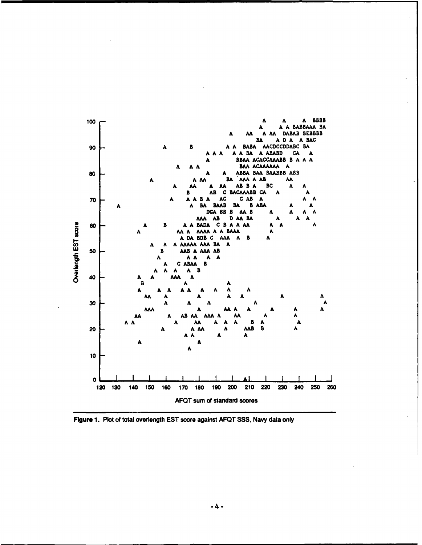

Figure **1.** Plot of total overlength **EST** score against **AFQT SSS,** Navy data only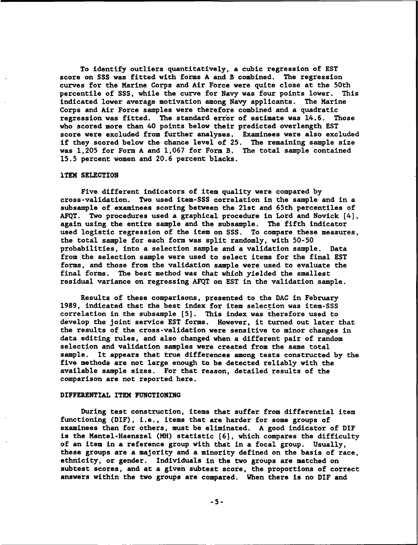To identify outliers quantitatively, a cubic regression of **EST** score on **SSS** was fitted with forms **A** and B combined. The regression curves for the Marine Corps and Air Force were quite close at the 50th percentile of **SSS,** while the curve for Navy was four points lower. This indicated lower average motivation among Navy applicants. The Marine Corps and Air Force samples were therefore combined and a quadratic regression was fitted. The standard error of estimate was 14.6. Those who scored more than 40 points below their predicted overlength **EST** score were excluded from further analyses. Examinees were also excluded if they scored below the chance level of 25. The remaining sample size was **1,205** for Form **A** and **1,067** for Form B. The total sample contained 15.5 percent women and **20.6** percent blacks.

#### **ITEM** SELECTION

Five different indicators of item quality were compared **by** cross-validation. Two used item-SSS correlation in the sample and in a subsample of examinees scoring between the 21st and 65th percentiles of **AFQT.** Two procedures used a graphical procedure in Lord and Novick [4], again using the entire sample and the subsample. The fifth indicator used logistic regression of the item on **SSS.** To compare these measures, the total sample for each form was split randomly, with **50-50** probabilities, into a selection sample and a validation sample. Data from the selection sample were used to select items for the final **EST** forms, and those from the validation sample were used to evaluate the final forms. The best method was that which yielded the smallest residual variance on regressing **AFQT** on **EST** in the validation sample.

Results of these comparisons, presented to the **DAC** in February **1989,** indicated that the best index for item selection was item-SSS correlation in the subsample **[5].** This index was therefore used to develop the joint service **EST** forms. However, it turned out later that the results of the cross-validation were sensitive to minor changes in data editing rules, and also changed when a different pair of random selection and validation samples were created from the same total sample. It appears that true differences among tests constructed **by** the five methods are not large enough to be detected reliably with the available sample sizes. For that reason, detailed results of the comparison are not reported here.

#### DIFFERENTIAL ITEM **FUNCTIONING**

During test construction, items that suffer from differential item functioning (DIF), i.e., items that are harder for some groups of examinees than for others, must be eliminated. **A** good indicator of DIF is the Mantel-Haenszel (MH) statistic **(6],** which compares the difficulty of an item in a reference group with that in a focal group. Usually, these groups are a majority and a minority defined on the basis of race, ethnicity, or gender. Individuals in the two groups are matched on subtest scores, and at a given subtest score, the proportions of correct answers within the two groups are compared. When there is no DIF and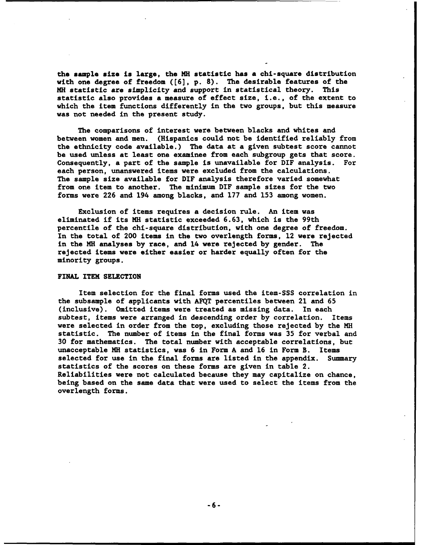**the sample** size **is** large, the MH statistic has a chi-square distribution with one degree of freedom **([6], p. 8).** The desirable features of the MH statistic are simplicity and support in statistical theory. This statistic also provides a measure of effect size, i.e., of the extent to which the item functions differently in the two groups, but this measure was not needed in the present study.

The comparisons of interest were between blacks and whites and between women and men. (Hispanics could not be identified reliably from the ethnicity code available.) The data at a given subtest score cannot be used unless at least one examinee from each subgroup gets that score. Consequently, a part of the sample is unavailable for DIF analysis. For each person, unanswered items were excluded from the calculations. The sample size available for DIF analysis therefore varied somewhat from one item to another. The minimum DIF sample sizes for the two forms were **226** and 194 among blacks, and **177** and **153** among women.

Exclusion of items requires a decision rule. An item was eliminated if its MH statistic exceeded **6.63,** which is the 99th percentile of the chi-square distribution, with one degree of freedom. In the total of 200 items in the two overlength forms, 12 were rejected in the **MH** analyses **by** race, and 14 were rejected **by** gender. The rejected items were either easier or harder equally often for the minority groups.

#### FINAL ITEM **SELECTION**

Item selection for the final forms used the item-SSS correlation in the subsample of applicants with **AFQT** percentiles between 21 and **65** (inclusive). Omitted items were treated as missing data. In each subtest, items were arranged in descending order **by** correlation. Items were selected in order from the top, excluding those rejected **by** the **MH** statistic. The number of items in the final forms was **35** for verbal and **30** for mathematics. The total number with acceptable correlations, but unacceptable **MH** statistics, was **6** in Form **A** and **16** in Form B. Items selected for use in the final forms are listed in the appendix. Summary statistics of the scores on these forms are given in table 2. Reliabilities were not calculated because they may capitalize on chance, being based on the same data that were used to select the items from the overlength forms.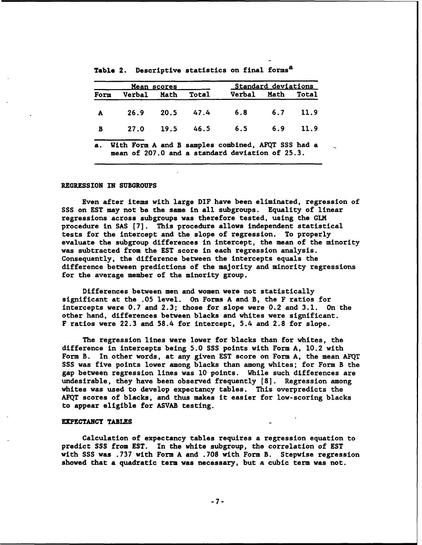|              |                                                                                                       | Mean scores    | Standard deviations |             |            |       |
|--------------|-------------------------------------------------------------------------------------------------------|----------------|---------------------|-------------|------------|-------|
| Form         | Verbal Math                                                                                           |                | Total               | Verbal Math |            | Total |
| $\mathbf{A}$ | 26.9                                                                                                  | 20.5           | 47.4                | 6.8         | 6.7        | 11.9  |
| B            |                                                                                                       | 27.0 19.5 46.5 |                     | 6.5         | $6.9$ 11.9 |       |
| <b>a.</b>    | With Form A and B samples combined, AFQT SSS had a<br>mean of 207.0 and a standard deviation of 25.3. |                |                     |             |            |       |

Table 2. Descriptive statistics on final **formsa**

#### REGRESSION IN **SUBGROUPS**

Even after items with large DIF have been eliminated, regression of **SSS** on **EST** may not **be** the same in all subgroups. Equality of linear regressions across subgroups was therefore tested, using the **GLM** procedure in **SAS [7].** This procedure allows independent statistical tests for the intercept and the slope of regression. To properly evaluate the subgroup differences in intercept, the mean of the minority was subtracted from the **EST** score in each regression analysis. Consequently, the difference between the intercepts equals the difference between predictions of the majority and minority regressions for the average member of the minority group.

Differences between men and women were not statistically significant at the **.05** level. On Forms **A** and B, the F ratios for intercepts were **0.7** and **2.3;** those for slope were 0.2 and **3.1.** On the other hand, differences between blacks and whites were significant. F ratios were **22.3** and 58.4 for intercept, 5.4 and **2.8** for slope.

The regression lines were lower for blacks than for whites, the difference in intercepts being **5.0 SSS** points with Form **A,** 10.2 with Form B. In other words, at any given **EST** score on Form **A,** the mean **AFQT SSS** was five points lower among blacks than among whites; for Form B the gap between regression lines was **10** points. While such differences are undesirable, they have been observed frequently **[8].** Regression among whites was used to develop expectancy tables. This overpredicts the **AFQT** scores of blacks, and thus makes it easier for low-scoring blacks to appear eligible for **ASVAB** testing.

#### **EXPECTANCY TABLES**

Calculation of expectancy tables requires a regression equation to predict **SSS** from **EST.** In the white subgroup, the correlation of **EST** with **SSS** was **.737** with Form **A** and **.708** with Form B. Stepwise regression showed that a quadratic term was necessary, but a cubic term was not.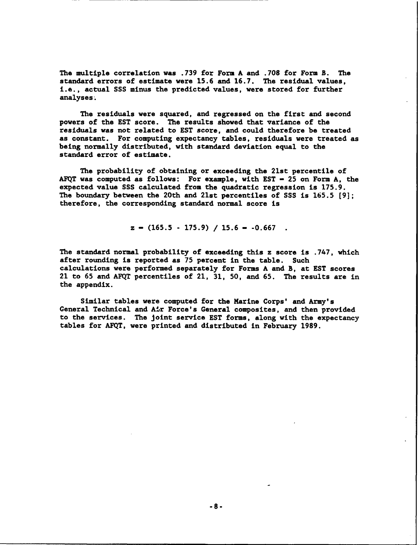The multiple correlation was **.739** for Form **A** and **.708** for Form B. The standard errors of estimate were **15.6** and **16.7.** The residual values, i.e., actual **SSS** minus the predicted values, were stored for further analyses.

The residuals were squared, and regressed on the first and second powers of the **EST** score. The results showed that variance of the residuals was not related to **EST** score, and could therefore **be** treated as constant. For computing expectancy tables, residuals were treated as being normally distributed, with standard deviation equal to the standard error of estimate.

The probability of obtaining or exceeding the 21st percentile of **AFQT** was computed as follows: For example, with **EST - 25** on Form **A,** the expected value **SSS** calculated from the quadratic regression is **175.9.** The boundary between the 20th and 21st percentiles of **SSS** is **165.5 [9];** therefore, the corresponding standard normal score is

$$
z = (165.5 - 175.9) / 15.6 = -0.667
$$

The standard normal probability of exceeding this z score is **.747,** which after rounding is reported as **75** percent in the table. Such calculations were performed separately for Forms **A** and B, at **EST** scores 21 to **65** and **AFQT** percentiles of 21, **31, 50,** and **65.** The results are in the appendix.

Similar tables were computed for the Marine Corps' and Army's General Technical and Air Force's General composites, and then provided to the services. The joint service **EST** forms, along with the expectancy tables for **AFQT,** were printed and distributed in February **1989.**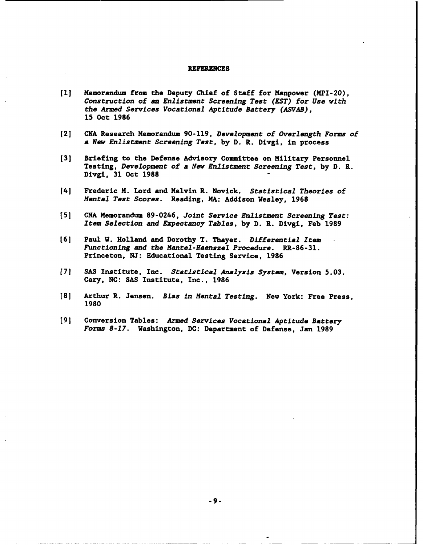#### REFERENCES

- **(1]** Memorandum from the Deputy Chief of Staff for Manpower (MPI-20), Construction of an Enlistment Screening Test **(EST)** for Use with the Armed Services Vocational Aptitude Battery **(ASVAB), 15** Oct **1986**
- **[2] CNA** Research Memorandum **90-119,** Development of Overlength Forms of a New Enlistment Screening Test, **by D.** R. Divgi, in process
- **[3]** Briefing to the Defense Advisory Committee on Military Personnel Testing, Development of a New Enlistment Screening Test, **by D.** R. Divgi, **31** Oct **1988**
- [4] Frederic M. Lord and Melvin R. Novick. Statistical Theories of Mental Test Scores. Reading, MA: Addison Wesley, **1968**
- **[5] CNA** Memorandum **89-0246,** Joint Service Enlistment Screening Test: Item Selection and Expectancy Tables, **by D.** R. Divgi, Feb **1989**
- **[6]** Paul W. Holland and Dorothy T. Thayer. Differential Item Functioning and the Mantel-Haenszel Procedure. RR-86-31. Princeton, **NJ:** Educational Testing Service, **1986**
- **[7] SAS** Institute, Inc. Statistical Analysis System, Version **5.03.** Cary, **NC: SAS** Institute, Inc., **1986**
- **[8]** Arthur R. Jensen. Bias *In* Mental Testing. New York: Free Press, **1980**
- **[9]** Conversion Tables: Armed Services Vocational Aptitude Battery Forms **8-17.** Washington, **DC:** Department of Defense, Jan **1989**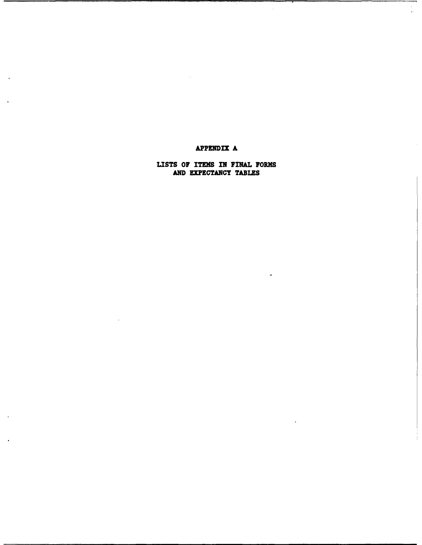# **APPENDIX A**

 $\bar{z}$ 

 $\frac{1}{2}$ 

LISTS OF **ITEMS IN** FINAL FORMS **AND EXPECTANCY TABLES**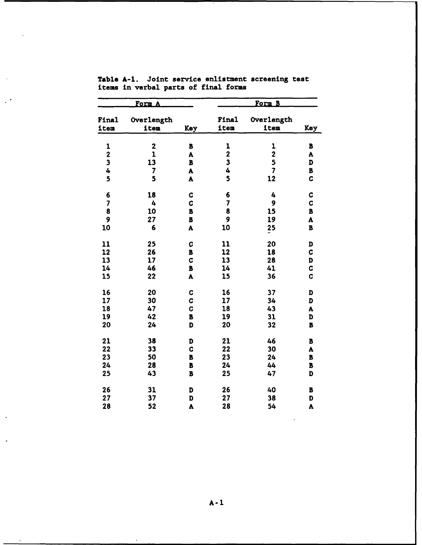|                         | <u>Form</u>        |                |                                         |                                        |                         |
|-------------------------|--------------------|----------------|-----------------------------------------|----------------------------------------|-------------------------|
| Final<br>item           | Overlength<br>item | Key            | Final<br>iten                           | Overlength<br>item                     | Key                     |
|                         | $\overline{2}$     |                |                                         |                                        |                         |
| 1                       | $\mathbf 1$        | B              | $\mathbf{1}$<br>$\overline{\mathbf{2}}$ | $\mathbf 1$<br>$\overline{\mathbf{c}}$ | B                       |
| $\mathbf 2$             |                    | A              | 3                                       |                                        | A                       |
| $\overline{\mathbf{3}}$ | 13                 | $\, {\bf B}$   |                                         | 5                                      | D                       |
| 4                       | 7                  | A              | 4                                       | $\overline{\mathbf{z}}$                | B                       |
| 5                       | 5                  | A              | 5                                       | 12                                     | C                       |
| 6                       | 18                 | C              | 6                                       | 4                                      | C                       |
| 7                       | 4                  | C              | $\overline{\mathbf{z}}$                 | 9                                      | C                       |
| 8                       | 10                 | B              | 8                                       | 15                                     | $\overline{\mathbf{B}}$ |
| 9                       | 27                 | $\overline{B}$ | 9                                       | 19                                     | A                       |
| 10                      | 6                  | A              | 10                                      | $\frac{25}{5}$                         | B                       |
| 11                      | 25                 | C              | 11                                      | 20                                     | D                       |
| 12                      | 26                 | B              | 12                                      | 18                                     | C                       |
| 13                      | 17                 | C              | 13                                      | 28                                     | D                       |
| 14                      | 46                 | B              | 14                                      | 41                                     | C                       |
| 15                      | 22                 | A              | 15                                      | 36                                     | C                       |
| 16                      | 20                 | C              | 16                                      | 37                                     | D                       |
| 17                      | 30                 | C              | 17                                      | 34                                     | D                       |
| 18                      | 47                 | C              | 18                                      | 43                                     | A                       |
| 19                      | 42                 | B              | 19                                      | 31                                     | D                       |
| 20                      | 24                 | D              | 20                                      | 32                                     | B                       |
| 21                      | 38                 | D              | 21                                      | 46                                     | B                       |
| 22                      | 33                 | C              | 22                                      | 30                                     | A                       |
| 23                      | 50                 | B              | 23                                      | 24                                     | B                       |
| 24                      | 28                 | B              | 24                                      | 44                                     | B                       |
| 25                      | 43                 | B              | 25                                      | 47                                     | D                       |
| 26                      | 31                 | D              | 26                                      | 40                                     | B                       |
| 27                      | 37                 | D              | 27                                      | 38                                     | D                       |
| 28                      | 52                 | A              | 28                                      | 54                                     | A                       |

|                                      |  |  | Table A-1. Joint service enlistment screening test |  |
|--------------------------------------|--|--|----------------------------------------------------|--|
| items in verbal parts of final forms |  |  |                                                    |  |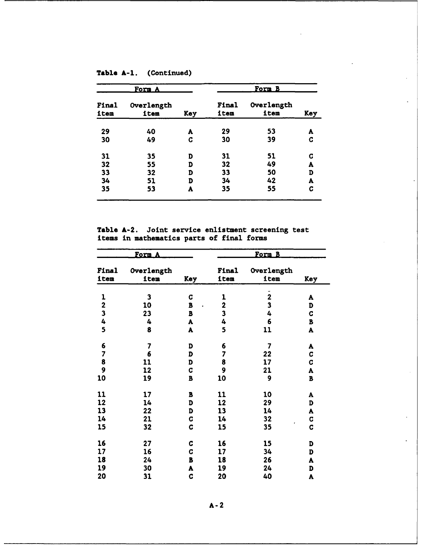|               | <u>Form A</u>      |     | <u>Form B</u> |                    |     |  |
|---------------|--------------------|-----|---------------|--------------------|-----|--|
| Final<br>item | Overlength<br>item | Key | Final<br>item | Overlength<br>item | Key |  |
| 29            | 40                 | A   | 29            | 53                 | A   |  |
| 30            | 49                 | C   | 30            | 39                 | C   |  |
| 31            | 35                 | D   | 31            | 51                 | G   |  |
| 32            | 55                 | D   | 32            | 49                 | A   |  |
| 33            | 32                 | D   | 33            | 50                 | D   |  |
| 34            | 51                 | D   | 34            | 42                 | A   |  |
| 35            | 53                 | A   | 35            | 55                 | C   |  |
|               |                    |     |               |                    |     |  |

**Table A-2.** Joint service enlistment screening test items in mathematics parts of final forms

|                         | <u>Form.</u>            |            | <u>Form B</u>           |                         |             |
|-------------------------|-------------------------|------------|-------------------------|-------------------------|-------------|
| Final<br>item           | Overlength<br>item      | <b>Key</b> | Final<br>item           | Overlength<br>item      | Key         |
|                         |                         |            |                         |                         |             |
| 1                       | 3                       | C          | 1                       | $\overline{2}$          | A           |
| $\overline{\mathbf{c}}$ | 10                      | B          | $\mathbf 2$             | $\overline{\mathbf{3}}$ | D           |
| $\overline{\mathbf{3}}$ | 23                      | B          | $\overline{\mathbf{3}}$ | 4                       | C           |
| 4                       | 4                       | A          | 4                       | 6                       | B           |
| 5                       | 8                       | A          | 5                       | 11                      | A           |
| 6                       | $\overline{\mathbf{z}}$ | D          | 6                       | 7                       | A           |
| 7                       | 6                       | D          | 7                       | 22                      | C           |
| 8                       | 11                      | D          | 8                       | 17                      | C           |
| 9                       | 12                      | C          | 9                       | 21                      | A           |
| 10                      | 19                      | В          | 10                      | 9                       | B           |
| 11                      | 17                      | B          | 11                      | 10                      | A           |
| 12                      | 14                      | D          | 12                      | 29                      | D           |
| 13                      | 22                      | D          | 13                      | 14                      | A           |
| 14                      | 21                      | C          | 14                      | 32                      | C           |
| 15                      | 32                      | C          | 15                      | 35                      | $\mathbf C$ |
| 16                      | 27                      | C          | 16                      | 15                      | D           |
| 17                      | 16                      | C          | 17                      | 34                      | D           |
| 18                      | 24                      | B          | 18                      | 26                      | A           |
| 19                      | 30                      | A          | 19                      | 24                      | D           |
| 20                      | 31                      | C          | 20                      | 40                      | A           |

**A-2**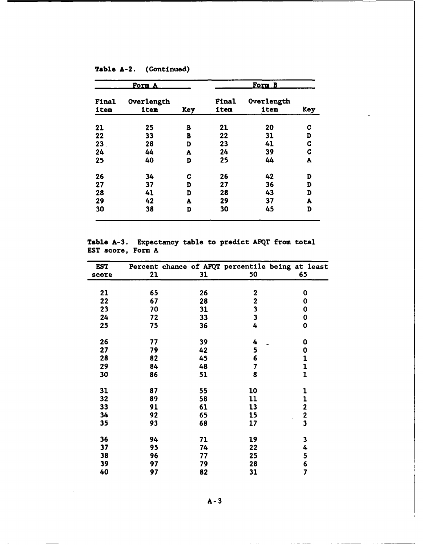|               | <u>Form A</u>      |            | Form B        |                    |     |  |
|---------------|--------------------|------------|---------------|--------------------|-----|--|
| Final<br>item | Overlength<br>item | <b>Key</b> | Final<br>item | Overlength<br>item | Key |  |
| 21            | 25                 | B          | 21            | 20                 | C   |  |
| 22            | 33                 | B          | 22            | 31                 | D   |  |
| 23            | 28                 | D          | 23            | 41                 | C   |  |
| 24            | 44                 | A          | 24            | 39                 | C   |  |
| 25            | 40                 | D          | 25            | 44                 | A   |  |
| 26            | 34                 | c          | 26            | 42                 | D   |  |
| 27            | 37                 | D          | 27            | 36                 | D   |  |
| 28            | 41                 | D          | 28            | 43                 | D   |  |
| 29            | 42                 | A          | 29            | 37                 | A   |  |
| 30            | 38                 | D          | 30            | 45                 | D   |  |

**Table A-2.** (Continued)

**Table A-3.** Expectancy table to predict **AFQT** from total **EST** score, Form **A**

| <b>EST</b> |    |    |                         | Percent chance of AFQT percentile being at least |
|------------|----|----|-------------------------|--------------------------------------------------|
| score      | 21 | 31 | 50                      | 65                                               |
|            |    |    |                         |                                                  |
| 21         | 65 | 26 | $\mathbf 2$             | 0                                                |
| 22         | 67 | 28 | $\overline{\mathbf{2}}$ | 0                                                |
| 23         | 70 | 31 | $\overline{\mathbf{3}}$ | 0                                                |
| 24         | 72 | 33 | $\overline{\mathbf{3}}$ | 0                                                |
| 25         | 75 | 36 | 4                       | 0                                                |
| 26         | 77 | 39 | 4                       | 0                                                |
| 27         | 79 | 42 | 5                       | 0                                                |
| 28         | 82 | 45 | 6                       | 1                                                |
| 29         | 84 | 48 | 7                       | 1                                                |
| 30         | 86 |    | 8                       | $\mathbf{1}$                                     |
|            |    | 51 |                         |                                                  |
| 31         | 87 | 55 | 10                      | 1                                                |
| 32         | 89 | 58 | 11                      | 1                                                |
| 33         | 91 | 61 | 13                      | $\mathbf 2$                                      |
| 34         | 92 | 65 | 15                      |                                                  |
| 35         | 93 | 68 | 17                      | $\frac{2}{3}$                                    |
| 36         | 94 | 71 | 19                      | 3                                                |
| 37         | 95 | 74 | 22                      | 4                                                |
| 38         | 96 | 77 | 25                      | 5                                                |
| 39         | 97 | 79 | 28                      | 6                                                |
| 40         | 97 | 82 | 31                      | 7                                                |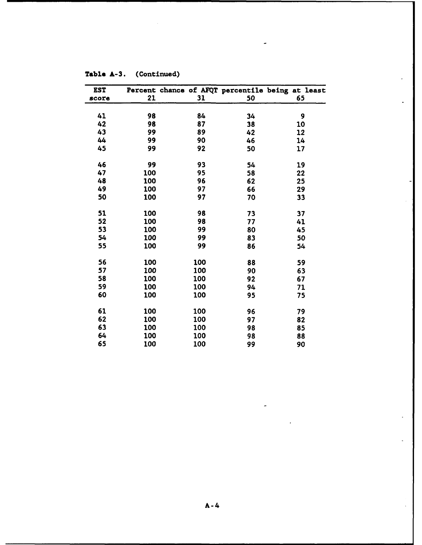| EST   |     |     |    | Percent chance of AFQT percentile being at least |
|-------|-----|-----|----|--------------------------------------------------|
| score | 21  | 31  | 50 | 65                                               |
|       |     |     |    |                                                  |
| 41    | 98  | 84  | 34 | 9                                                |
| 42    | 98  | 87  | 38 | 10                                               |
| 43    | 99  | 89  | 42 | 12                                               |
| 44    | 99  | 90  | 46 | 14                                               |
| 45    | 99  | 92  | 50 | 17                                               |
| 46    | 99  | 93  | 54 | 19                                               |
| 47    | 100 | 95  | 58 | 22                                               |
| 48    | 100 | 96  | 62 | 25                                               |
| 49    | 100 | 97  | 66 | 29                                               |
| 50    | 100 | 97  | 70 | 33                                               |
| 51    | 100 | 98  | 73 | 37                                               |
| 52    | 100 | 98  | 77 | 41                                               |
| 53    | 100 | 99  | 80 | 45                                               |
| 54    | 100 | 99  | 83 | 50                                               |
| 55    | 100 | 99  | 86 | 54                                               |
| 56    | 100 | 100 | 88 | 59                                               |
| 57    | 100 | 100 | 90 | 63                                               |
| 58    | 100 | 100 | 92 | 67                                               |
| 59    | 100 | 100 | 94 | 71                                               |
| 60    | 100 | 100 | 95 | 75                                               |
| 61    | 100 | 100 | 96 | 79                                               |
| 62    | 100 | 100 | 97 | 82                                               |
| 63    | 100 | 100 | 98 | 85                                               |
| 64    | 100 | 100 | 98 | 88                                               |
| 65    | 100 | 100 | 99 | 90                                               |

 $\ddot{\phantom{a}}$ 

 $\overline{a}$ 

**Table A-3.** (Continued)

 $\overline{a}$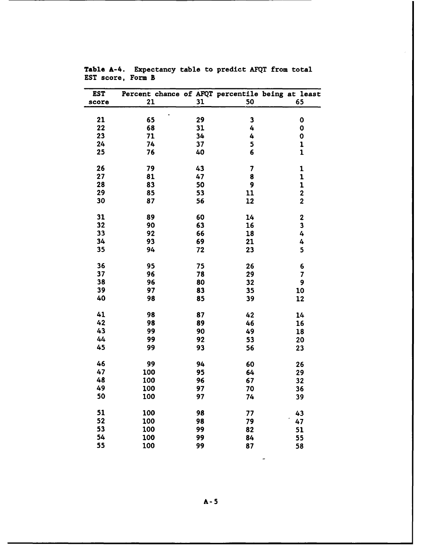| <b>EST</b><br>score | 21  | 31 | 50 | Percent chance of AFQT percentile being at least<br>65 |
|---------------------|-----|----|----|--------------------------------------------------------|
|                     |     |    |    |                                                        |
| 21                  | 65  | 29 | 3  | 0                                                      |
| 22                  | 68  | 31 | 4  | 0                                                      |
| 23                  | 71  | 34 | 4  | 0                                                      |
| 24                  | 74  | 37 | 5  | $\mathbf{1}$                                           |
| 25                  | 76  | 40 | 6  | $\mathbf{1}$                                           |
| 26                  | 79  | 43 | 7  | 1                                                      |
| 27                  | 81  | 47 | 8  | 1                                                      |
| 28                  | 83  | 50 | 9  | 1                                                      |
| 29                  | 85  | 53 | 11 | $\overline{\mathbf{c}}$                                |
| 30                  | 87  | 56 | 12 | $\overline{2}$                                         |
| 31                  | 89  | 60 | 14 | $\mathbf 2$                                            |
| 32                  | 90  | 63 | 16 | 3                                                      |
| 33                  | 92  | 66 | 18 | 4                                                      |
| 34                  | 93  | 69 | 21 | 4                                                      |
| 35                  | 94  | 72 | 23 | 5                                                      |
| 36                  | 95  | 75 | 26 | 6                                                      |
| 37                  | 96  | 78 | 29 | 7                                                      |
| 38                  | 96  | 80 | 32 | 9                                                      |
| 39                  | 97  | 83 | 35 | 10                                                     |
| 40                  | 98  | 85 | 39 | 12                                                     |
| 41                  | 98  | 87 | 42 | 14                                                     |
| 42                  | 98  | 89 | 46 | 16                                                     |
| 43                  | 99  | 90 | 49 | 18                                                     |
| 44                  | 99  | 92 | 53 | 20                                                     |
| 45                  | 99  | 93 | 56 | 23                                                     |
| 46                  | 99  | 94 | 60 | 26                                                     |
| 47                  | 100 | 95 | 64 | 29                                                     |
| 48                  | 100 | 96 | 67 | 32                                                     |
| 49                  | 100 | 97 | 70 | 36                                                     |
| 50                  | 100 | 97 | 74 | 39                                                     |
| 51                  | 100 | 98 | 77 | 43                                                     |
| 52                  | 100 | 98 | 79 | 47                                                     |
| 53                  | 100 | 99 | 82 | 51                                                     |
| 54                  | 100 | 99 | 84 | 55                                                     |
| 55                  | 100 | 99 | 87 | 58                                                     |

Table A-4. Expectancy table to predict **AFQT** from total **EST** score, Form B

 $\blacksquare$